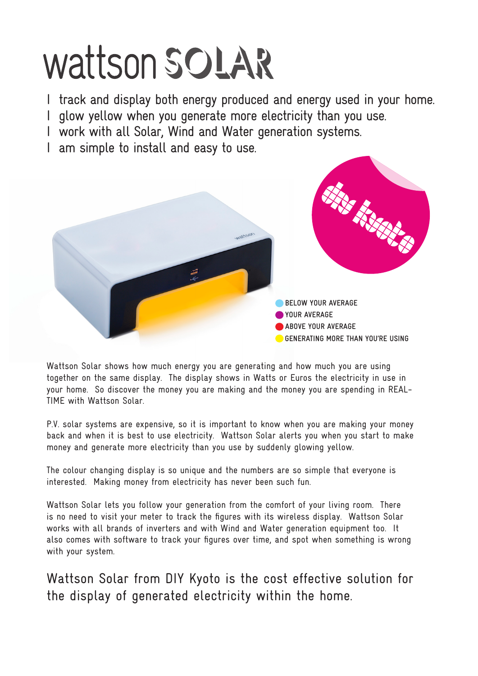# Wattson SOLAR

- I track and display both energy produced and energy used in your home.
- I glow yellow when you generate more electricity than you use.
- I work with all Solar, Wind and Water generation systems.
- I am simple to install and easy to use.



Wattson Solar shows how much energy you are generating and how much you are using together on the same display. The display shows in Watts or Euros the electricity in use in your home. So discover the money you are making and the money you are spending in REAL-TIME with Wattson Solar.

P.V. solar systems are expensive, so it is important to know when you are making your money back and when it is best to use electricity. Wattson Solar alerts you when you start to make money and generate more electricity than you use by suddenly glowing yellow.

The colour changing display is so unique and the numbers are so simple that everyone is interested. Making money from electricity has never been such fun.

Wattson Solar lets you follow your generation from the comfort of your living room. There is no need to visit your meter to track the figures with its wireless display. Wattson Solar works with all brands of inverters and with Wind and Water generation equipment too. It also comes with software to track your figures over time, and spot when something is wrong with your system.

Wattson Solar from DIY Kyoto is the cost effective solution for the display of generated electricity within the home.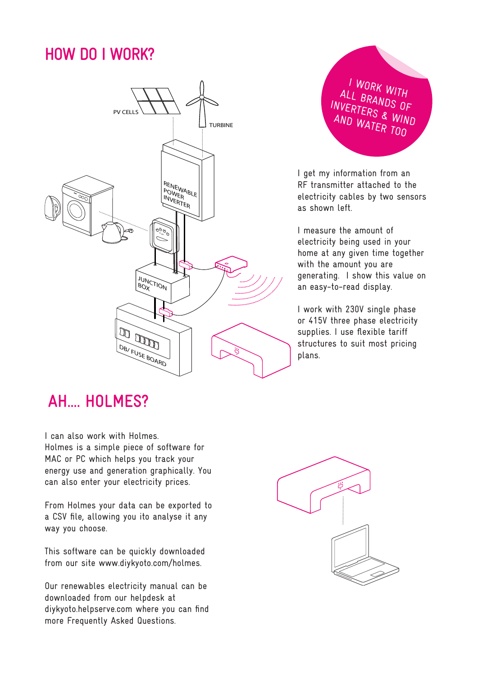## **HOW DO I WORK?**



I WORK WITH ALL BRANDS OF INVERTERS & WIND AND WATER TOO

I get my information from an RF transmitter attached to the electricity cables by two sensors as shown left.

I measure the amount of electricity being used in your home at any given time together with the amount you are generating. I show this value on an easy-to-read display.

I work with 230V single phase or 415V three phase electricity supplies. I use flexible tariff structures to suit most pricing plans.

## **AH.... HOLMES?**

I can also work with Holmes. Holmes is a simple piece of software for MAC or PC which helps you track your energy use and generation graphically. You can also enter your electricity prices.

From Holmes your data can be exported to a CSV file, allowing you ito analyse it any way you choose.

This software can be quickly downloaded from our site www.diykyoto.com/holmes.

Our renewables electricity manual can be downloaded from our helpdesk at diykyoto.helpserve.com where you can find more Frequently Asked Questions.